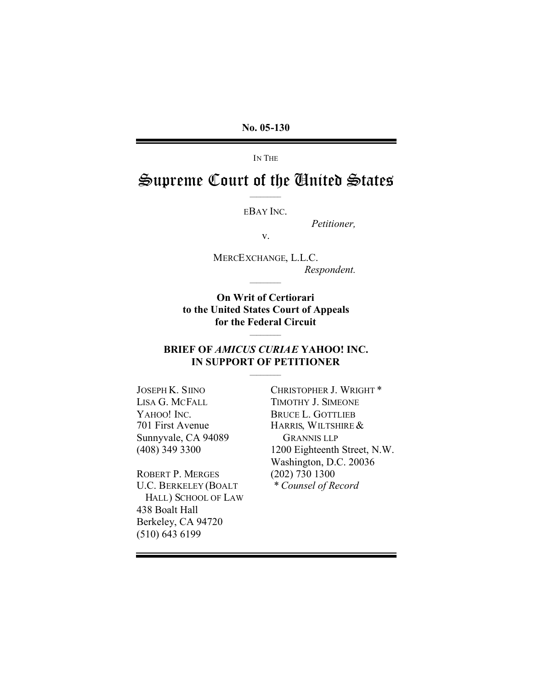IN THE

# Supreme Court of the United States

EBAY INC.

*Petitioner,*

v.

MERCEXCHANGE, L.L.C. *Respondent.*

**On Writ of Certiorari to the United States Court of Appeals for the Federal Circuit**

# **BRIEF OF** *AMICUS CURIAE* **YAHOO! INC. IN SUPPORT OF PETITIONER**

JOSEPH K. SIINO LISA G. MCFALL YAHOO! INC. 701 First Avenue Sunnyvale, CA 94089 (408) 349 3300

ROBERT P. MERGES U.C. BERKELEY (BOALT HALL) SCHOOL OF LAW 438 Boalt Hall Berkeley, CA 94720 (510) 643 6199

CHRISTOPHER J. WRIGHT \* TIMOTHY J. SIMEONE BRUCE L. GOTTLIEB HARRIS, WILTSHIRE& GRANNIS LLP 1200 Eighteenth Street, N.W. Washington, D.C. 20036 (202) 730 1300 *\* Counsel of Record*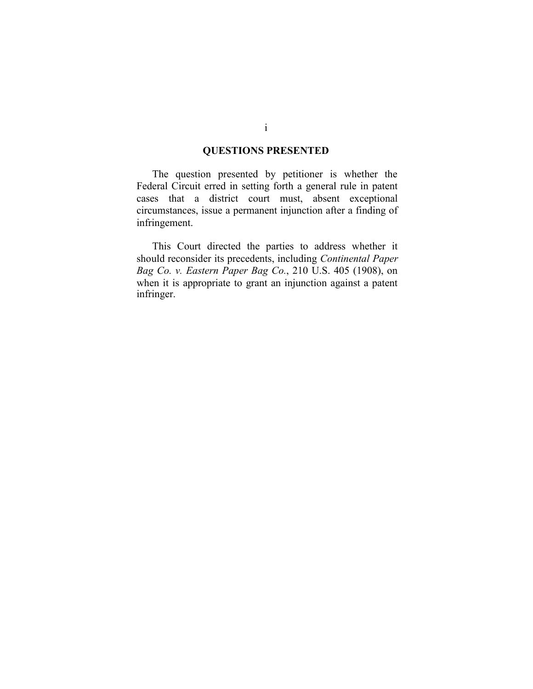# **QUESTIONS PRESENTED**

The question presented by petitioner is whether the Federal Circuit erred in setting forth a general rule in patent cases that a district court must, absent exceptional circumstances, issue a permanent injunction after a finding of infringement.

This Court directed the parties to address whether it should reconsider its precedents, including *Continental Paper Bag Co. v. Eastern Paper Bag Co.*, 210 U.S. 405 (1908), on when it is appropriate to grant an injunction against a patent infringer.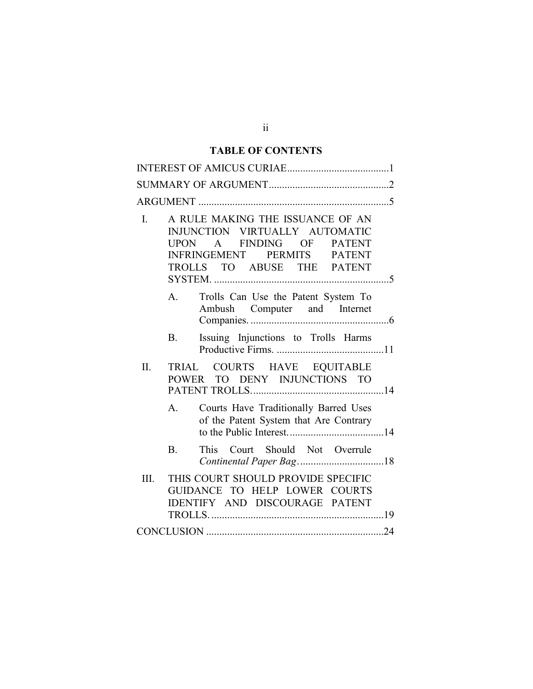# **TABLE OF CONTENTS**

| A RULE MAKING THE ISSUANCE OF AN<br>L.<br>INJUNCTION VIRTUALLY AUTOMATIC<br>UPON A FINDING OF<br><b>PATENT</b><br>INFRINGEMENT PERMITS PATENT<br>TROLLS TO ABUSE THE PATENT |  |
|-----------------------------------------------------------------------------------------------------------------------------------------------------------------------------|--|
| Trolls Can Use the Patent System To<br>$A_{1}$<br>Ambush Computer and Internet                                                                                              |  |
| Issuing Injunctions to Trolls Harms<br><b>B</b> .                                                                                                                           |  |
| TRIAL COURTS HAVE EQUITABLE<br>$\Pi$ .<br>POWER TO DENY INJUNCTIONS TO                                                                                                      |  |
| Courts Have Traditionally Barred Uses<br>$A_{\cdot}$<br>of the Patent System that Are Contrary                                                                              |  |
| This Court Should Not Overrule<br>$\mathbf{B}$ .                                                                                                                            |  |
| THIS COURT SHOULD PROVIDE SPECIFIC<br>III.<br>GUIDANCE TO HELP LOWER COURTS<br>IDENTIFY AND DISCOURAGE PATENT                                                               |  |
|                                                                                                                                                                             |  |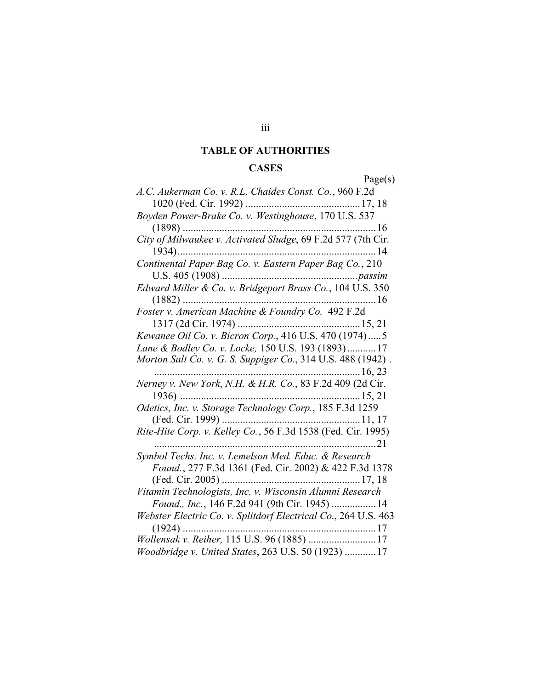#### **TABLE OF AUTHORITIES**

#### **CASES**

Page(s) *A.C. Aukerman Co. v. R.L. Chaides Const. Co.*, 960 F.2d 1020 (Fed. Cir. 1992) ............................................17, 18 *Boyden Power-Brake Co. v. Westinghouse*, 170 U.S. 537 (1898) ..........................................................................16 *City of Milwaukee v. Activated Sludge*, 69 F.2d 577 (7th Cir. 1934)............................................................................14 *Continental Paper Bag Co. v. Eastern Paper Bag Co.*, 210 U.S. 405 (1908) ....................................................*passim Edward Miller & Co. v. Bridgeport Brass Co.*, 104 U.S. 350 (1882) ..........................................................................16 *Foster v. American Machine & Foundry Co.* 492 F.2d 1317 (2d Cir. 1974) ...............................................15, 21 *Kewanee Oil Co. v. Bicron Corp.*, 416 U.S. 470 (1974).....5 *Lane & Bodley Co. v. Locke,* 150 U.S. 193 (1893)...........17 *Morton Salt Co. v. G. S. Suppiger Co.*, 314 U.S. 488 (1942) . ...............................................................................16, 23 *Nerney v. New York*, *N.H. & H.R. Co.*, 83 F.2d 409 (2d Cir. 1936) .....................................................................15, 21 *Odetics, Inc. v. Storage Technology Corp.*, 185 F.3d 1259 (Fed. Cir. 1999) .....................................................11, 17 *Rite-Hite Corp. v. Kelley Co.*, 56 F.3d 1538 (Fed. Cir. 1995) .....................................................................................21 *Symbol Techs. Inc. v. Lemelson Med. Educ. & Research Found.*, 277 F.3d 1361 (Fed. Cir. 2002) & 422 F.3d 1378 (Fed. Cir. 2005) .....................................................17, 18 *Vitamin Technologists, Inc. v. Wisconsin Alumni Research Found., Inc.*, 146 F.2d 941 (9th Cir. 1945) .................14 *Webster Electric Co. v. Splitdorf Electrical Co*., 264 U.S. 463 (1924) ..........................................................................17 *Wollensak v. Reiher,* 115 U.S. 96 (1885) ..........................17 *Woodbridge v. United States*, 263 U.S. 50 (1923) ............17

#### iii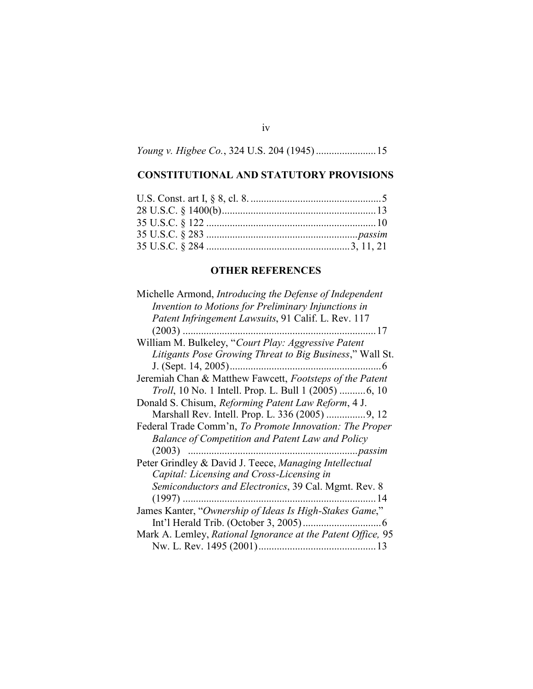*Young v. Higbee Co.*, 324 U.S. 204 (1945).......................15

iv

# **CONSTITUTIONAL AND STATUTORY PROVISIONS**

# **OTHER REFERENCES**

| Michelle Armond, <i>Introducing the Defense of Independent</i> |
|----------------------------------------------------------------|
| Invention to Motions for Preliminary Injunctions in            |
| Patent Infringement Lawsuits, 91 Calif. L. Rev. 117            |
|                                                                |
| William M. Bulkeley, "Court Play: Aggressive Patent            |
| Litigants Pose Growing Threat to Big Business," Wall St.       |
|                                                                |
| Jeremiah Chan & Matthew Fawcett, Footsteps of the Patent       |
| <i>Troll</i> , 10 No. 1 Intell. Prop. L. Bull 1 (2005) 6, 10   |
| Donald S. Chisum, Reforming Patent Law Reform, 4 J.            |
|                                                                |
| Federal Trade Comm'n, To Promote Innovation: The Proper        |
| Balance of Competition and Patent Law and Policy               |
|                                                                |
| Peter Grindley & David J. Teece, Managing Intellectual         |
| Capital: Licensing and Cross-Licensing in                      |
| Semiconductors and Electronics, 39 Cal. Mgmt. Rev. 8           |
| -14                                                            |
| James Kanter, "Ownership of Ideas Is High-Stakes Game,"        |
|                                                                |
| Mark A. Lemley, Rational Ignorance at the Patent Office, 95    |
|                                                                |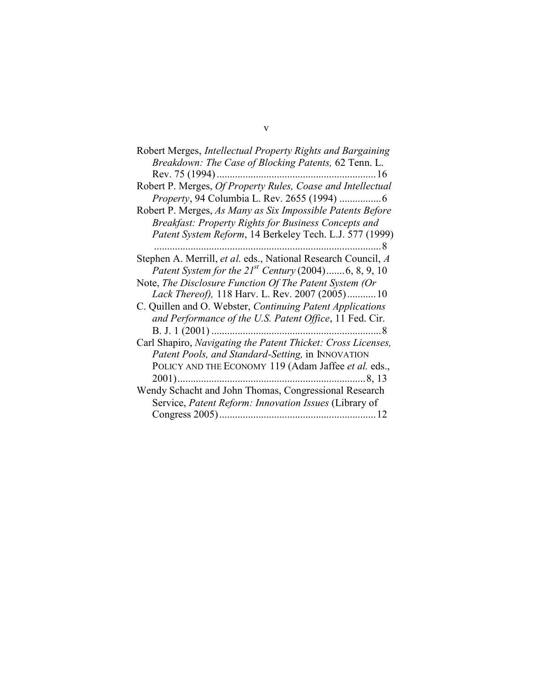| Robert Merges, Intellectual Property Rights and Bargaining                  |
|-----------------------------------------------------------------------------|
| Breakdown: The Case of Blocking Patents, 62 Tenn. L.                        |
| 16                                                                          |
| Robert P. Merges, Of Property Rules, Coase and Intellectual                 |
|                                                                             |
| Robert P. Merges, As Many as Six Impossible Patents Before                  |
| Breakfast: Property Rights for Business Concepts and                        |
| Patent System Reform, 14 Berkeley Tech. L.J. 577 (1999)                     |
|                                                                             |
| Stephen A. Merrill, et al. eds., National Research Council, A               |
| <i>Patent System for the <math>21^{st}</math> Century</i> (2004)6, 8, 9, 10 |
| Note, The Disclosure Function Of The Patent System (Or                      |
| Lack Thereof), 118 Harv. L. Rev. 2007 (2005)10                              |
| C. Quillen and O. Webster, Continuing Patent Applications                   |
| and Performance of the U.S. Patent Office, 11 Fed. Cir.                     |
| B. J. $1(2001)$<br>-8                                                       |
| Carl Shapiro, Navigating the Patent Thicket: Cross Licenses,                |
| Patent Pools, and Standard-Setting, in INNOVATION                           |
| POLICY AND THE ECONOMY 119 (Adam Jaffee et al. eds.,                        |
|                                                                             |
| Wendy Schacht and John Thomas, Congressional Research                       |
| Service, Patent Reform: Innovation Issues (Library of                       |
|                                                                             |

v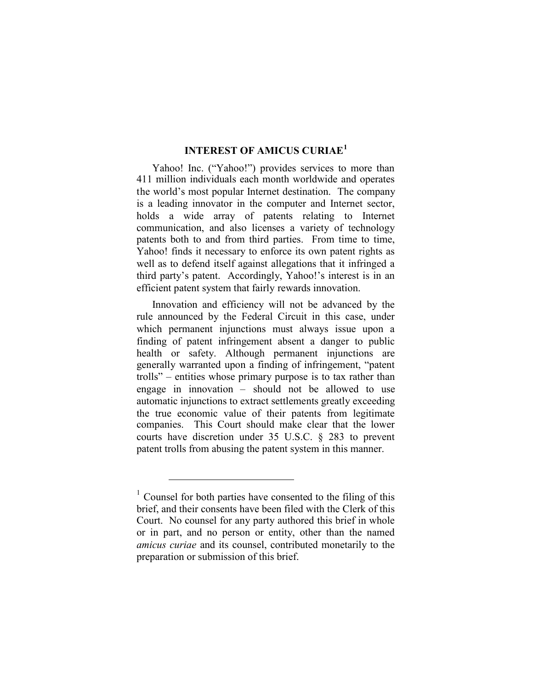## **INTEREST OF AMICUS CURIAE<sup>1</sup>**

Yahoo! Inc. ("Yahoo!") provides services to more than 411 million individuals each month worldwide and operates the world's most popular Internet destination. The company is a leading innovator in the computer and Internet sector, holds a wide array of patents relating to Internet communication, and also licenses a variety of technology patents both to and from third parties. From time to time, Yahoo! finds it necessary to enforce its own patent rights as well as to defend itself against allegations that it infringed a third party's patent. Accordingly, Yahoo!'s interest is in an efficient patent system that fairly rewards innovation.

Innovation and efficiency will not be advanced by the rule announced by the Federal Circuit in this case, under which permanent injunctions must always issue upon a finding of patent infringement absent a danger to public health or safety. Although permanent injunctions are generally warranted upon a finding of infringement, "patent trolls" – entities whose primary purpose is to tax rather than engage in innovation – should not be allowed to use automatic injunctions to extract settlements greatly exceeding the true economic value of their patents from legitimate companies. This Court should make clear that the lower courts have discretion under 35 U.S.C. § 283 to prevent patent trolls from abusing the patent system in this manner.

 $1$  Counsel for both parties have consented to the filing of this brief, and their consents have been filed with the Clerk of this Court. No counsel for any party authored this brief in whole or in part, and no person or entity, other than the named *amicus curiae* and its counsel, contributed monetarily to the preparation or submission of this brief.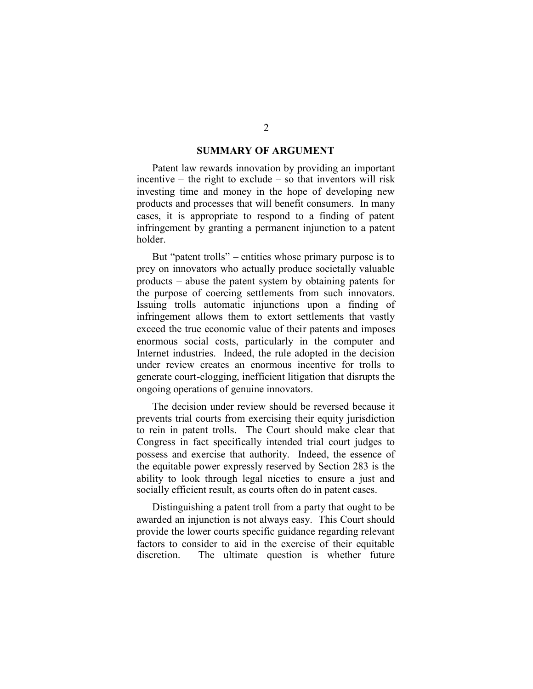#### **SUMMARY OF ARGUMENT**

Patent law rewards innovation by providing an important incentive – the right to exclude – so that inventors will risk investing time and money in the hope of developing new products and processes that will benefit consumers. In many cases, it is appropriate to respond to a finding of patent infringement by granting a permanent injunction to a patent holder.

But "patent trolls" – entities whose primary purpose is to prey on innovators who actually produce societally valuable products – abuse the patent system by obtaining patents for the purpose of coercing settlements from such innovators. Issuing trolls automatic injunctions upon a finding of infringement allows them to extort settlements that vastly exceed the true economic value of their patents and imposes enormous social costs, particularly in the computer and Internet industries. Indeed, the rule adopted in the decision under review creates an enormous incentive for trolls to generate court-clogging, inefficient litigation that disrupts the ongoing operations of genuine innovators.

The decision under review should be reversed because it prevents trial courts from exercising their equity jurisdiction to rein in patent trolls. The Court should make clear that Congress in fact specifically intended trial court judges to possess and exercise that authority. Indeed, the essence of the equitable power expressly reserved by Section 283 is the ability to look through legal niceties to ensure a just and socially efficient result, as courts often do in patent cases.

Distinguishing a patent troll from a party that ought to be awarded an injunction is not always easy. This Court should provide the lower courts specific guidance regarding relevant factors to consider to aid in the exercise of their equitable discretion. The ultimate question is whether future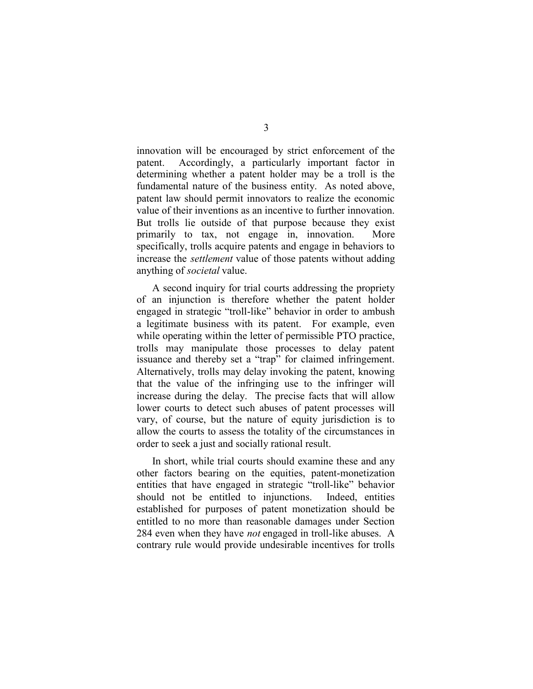innovation will be encouraged by strict enforcement of the patent. Accordingly, a particularly important factor in determining whether a patent holder may be a troll is the fundamental nature of the business entity. As noted above, patent law should permit innovators to realize the economic value of their inventions as an incentive to further innovation. But trolls lie outside of that purpose because they exist primarily to tax, not engage in, innovation. More specifically, trolls acquire patents and engage in behaviors to increase the *settlement* value of those patents without adding anything of *societal* value.

A second inquiry for trial courts addressing the propriety of an injunction is therefore whether the patent holder engaged in strategic "troll-like" behavior in order to ambush a legitimate business with its patent. For example, even while operating within the letter of permissible PTO practice, trolls may manipulate those processes to delay patent issuance and thereby set a "trap" for claimed infringement. Alternatively, trolls may delay invoking the patent, knowing that the value of the infringing use to the infringer will increase during the delay. The precise facts that will allow lower courts to detect such abuses of patent processes will vary, of course, but the nature of equity jurisdiction is to allow the courts to assess the totality of the circumstances in order to seek a just and socially rational result.

In short, while trial courts should examine these and any other factors bearing on the equities, patent-monetization entities that have engaged in strategic "troll-like" behavior should not be entitled to injunctions. Indeed, entities established for purposes of patent monetization should be entitled to no more than reasonable damages under Section 284 even when they have *not* engaged in troll-like abuses. A contrary rule would provide undesirable incentives for trolls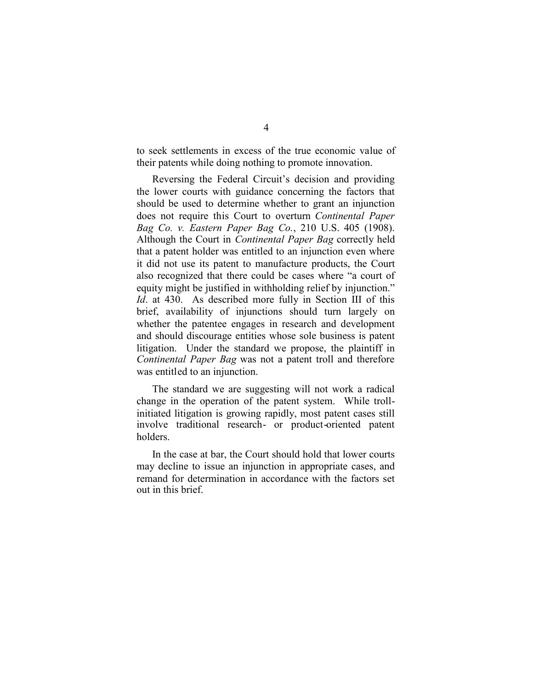to seek settlements in excess of the true economic value of their patents while doing nothing to promote innovation.

Reversing the Federal Circuit's decision and providing the lower courts with guidance concerning the factors that should be used to determine whether to grant an injunction does not require this Court to overturn *Continental Paper Bag Co. v. Eastern Paper Bag Co.*, 210 U.S. 405 (1908). Although the Court in *Continental Paper Bag* correctly held that a patent holder was entitled to an injunction even where it did not use its patent to manufacture products, the Court also recognized that there could be cases where "a court of equity might be justified in withholding relief by injunction." *Id*. at 430. As described more fully in Section III of this brief, availability of injunctions should turn largely on whether the patentee engages in research and development and should discourage entities whose sole business is patent litigation. Under the standard we propose, the plaintiff in *Continental Paper Bag* was not a patent troll and therefore was entitled to an injunction.

The standard we are suggesting will not work a radical change in the operation of the patent system. While trollinitiated litigation is growing rapidly, most patent cases still involve traditional research- or product-oriented patent holders.

In the case at bar, the Court should hold that lower courts may decline to issue an injunction in appropriate cases, and remand for determination in accordance with the factors set out in this brief.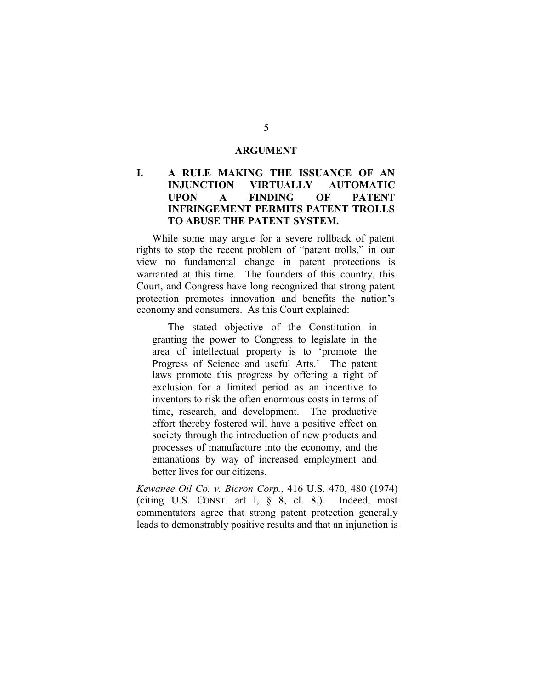#### **ARGUMENT**

# **I. A RULE MAKING THE ISSUANCE OF AN INJUNCTION VIRTUALLY AUTOMATIC UPON A FINDING OF PATENT INFRINGEMENT PERMITS PATENT TROLLS TO ABUSE THE PATENT SYSTEM.**

While some may argue for a severe rollback of patent rights to stop the recent problem of "patent trolls," in our view no fundamental change in patent protections is warranted at this time. The founders of this country, this Court, and Congress have long recognized that strong patent protection promotes innovation and benefits the nation's economy and consumers. As this Court explained:

The stated objective of the Constitution in granting the power to Congress to legislate in the area of intellectual property is to 'promote the Progress of Science and useful Arts.' The patent laws promote this progress by offering a right of exclusion for a limited period as an incentive to inventors to risk the often enormous costs in terms of time, research, and development. The productive effort thereby fostered will have a positive effect on society through the introduction of new products and processes of manufacture into the economy, and the emanations by way of increased employment and better lives for our citizens.

*Kewanee Oil Co. v. Bicron Corp.*, 416 U.S. 470, 480 (1974) (citing U.S. CONST. art I, § 8, cl. 8.). Indeed, most commentators agree that strong patent protection generally leads to demonstrably positive results and that an injunction is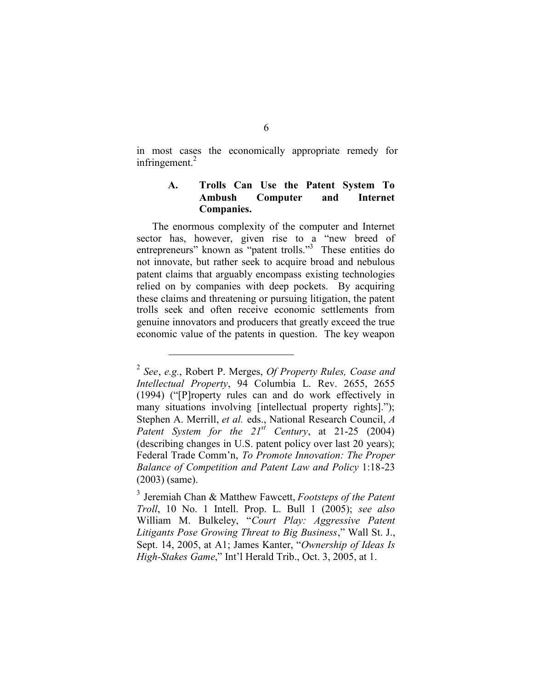in most cases the economically appropriate remedy for infringement. $2$ 

# **A. Trolls Can Use the Patent System To Ambush Computer and Internet Companies.**

The enormous complexity of the computer and Internet sector has, however, given rise to a "new breed of entrepreneurs" known as "patent trolls."<sup>3</sup> These entities do not innovate, but rather seek to acquire broad and nebulous patent claims that arguably encompass existing technologies relied on by companies with deep pockets. By acquiring these claims and threatening or pursuing litigation, the patent trolls seek and often receive economic settlements from genuine innovators and producers that greatly exceed the true economic value of the patents in question. The key weapon

<sup>2</sup> *See*, *e.g.*, Robert P. Merges, *Of Property Rules, Coase and Intellectual Property*, 94 Columbia L. Rev. 2655, 2655 (1994) ("[P]roperty rules can and do work effectively in many situations involving [intellectual property rights]."); Stephen A. Merrill, *et al.* eds., National Research Council, *A Patent System for the 21st Century*, at 21-25 (2004) (describing changes in U.S. patent policy over last 20 years); Federal Trade Comm'n, *To Promote Innovation: The Proper Balance of Competition and Patent Law and Policy* 1:18-23 (2003) (same).

<sup>3</sup> Jeremiah Chan & Matthew Fawcett, *Footsteps of the Patent Troll*, 10 No. 1 Intell. Prop. L. Bull 1 (2005); *see also* William M. Bulkeley, "*Court Play: Aggressive Patent Litigants Pose Growing Threat to Big Business*," Wall St. J., Sept. 14, 2005, at A1; James Kanter, "*Ownership of Ideas Is High-Stakes Game*," Int'l Herald Trib., Oct. 3, 2005, at 1.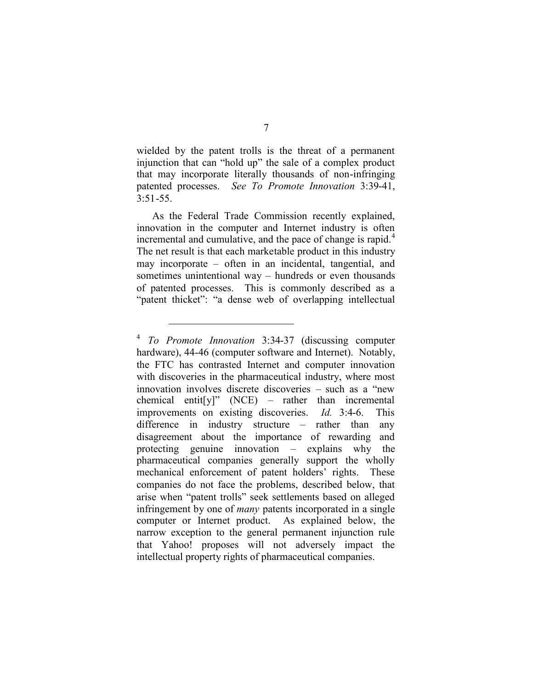wielded by the patent trolls is the threat of a permanent injunction that can "hold up" the sale of a complex product that may incorporate literally thousands of non-infringing patented processes. *See To Promote Innovation* 3:39-41,  $3.51 - 55$ 

As the Federal Trade Commission recently explained, innovation in the computer and Internet industry is often incremental and cumulative, and the pace of change is rapid.<sup>4</sup> The net result is that each marketable product in this industry may incorporate – often in an incidental, tangential, and sometimes unintentional way – hundreds or even thousands of patented processes. This is commonly described as a "patent thicket": "a dense web of overlapping intellectual

<sup>4</sup> *To Promote Innovation* 3:34-37 (discussing computer hardware), 44-46 (computer software and Internet). Notably, the FTC has contrasted Internet and computer innovation with discoveries in the pharmaceutical industry, where most innovation involves discrete discoveries – such as a "new chemical entit[y]" (NCE) – rather than incremental improvements on existing discoveries. *Id.* 3:4-6. This difference in industry structure – rather than any disagreement about the importance of rewarding and protecting genuine innovation – explains why the pharmaceutical companies generally support the wholly mechanical enforcement of patent holders' rights. These companies do not face the problems, described below, that arise when "patent trolls" seek settlements based on alleged infringement by one of *many* patents incorporated in a single computer or Internet product. As explained below, the narrow exception to the general permanent injunction rule that Yahoo! proposes will not adversely impact the intellectual property rights of pharmaceutical companies.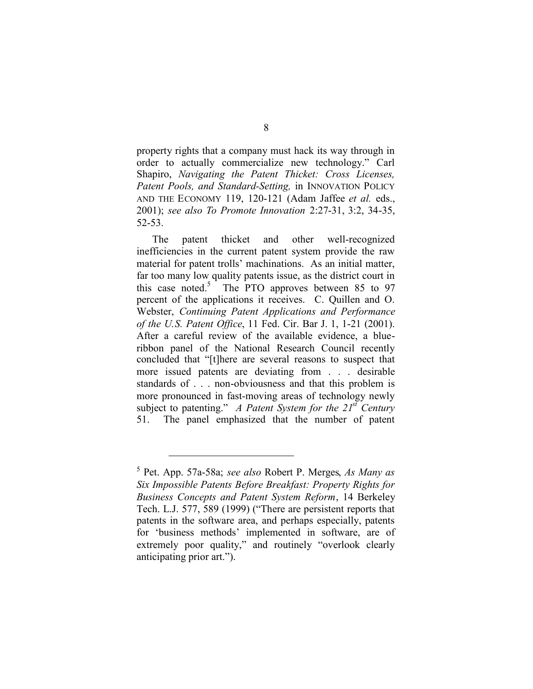property rights that a company must hack its way through in order to actually commercialize new technology." Carl Shapiro, *Navigating the Patent Thicket: Cross Licenses, Patent Pools, and Standard-Setting,* in INNOVATION POLICY AND THE ECONOMY 119, 120-121 (Adam Jaffee *et al.* eds., 2001); *see also To Promote Innovation* 2:27-31, 3:2, 34-35, 52-53.

The patent thicket and other well-recognized inefficiencies in the current patent system provide the raw material for patent trolls' machinations. As an initial matter, far too many low quality patents issue, as the district court in this case noted.<sup>5</sup> The PTO approves between 85 to 97 percent of the applications it receives. C. Quillen and O. Webster, *Continuing Patent Applications and Performance of the U.S. Patent Office*, 11 Fed. Cir. Bar J. 1, 1-21 (2001). After a careful review of the available evidence, a blueribbon panel of the National Research Council recently concluded that "[t]here are several reasons to suspect that more issued patents are deviating from . . . desirable standards of . . . non-obviousness and that this problem is more pronounced in fast-moving areas of technology newly subject to patenting." *A Patent System for the 21st Century* 51. The panel emphasized that the number of patent

<sup>5</sup> Pet. App. 57a-58a; *see also* Robert P. Merges, *As Many as Six Impossible Patents Before Breakfast: Property Rights for Business Concepts and Patent System Reform*, 14 Berkeley Tech. L.J. 577, 589 (1999) ("There are persistent reports that patents in the software area, and perhaps especially, patents for 'business methods' implemented in software, are of extremely poor quality," and routinely "overlook clearly anticipating prior art.").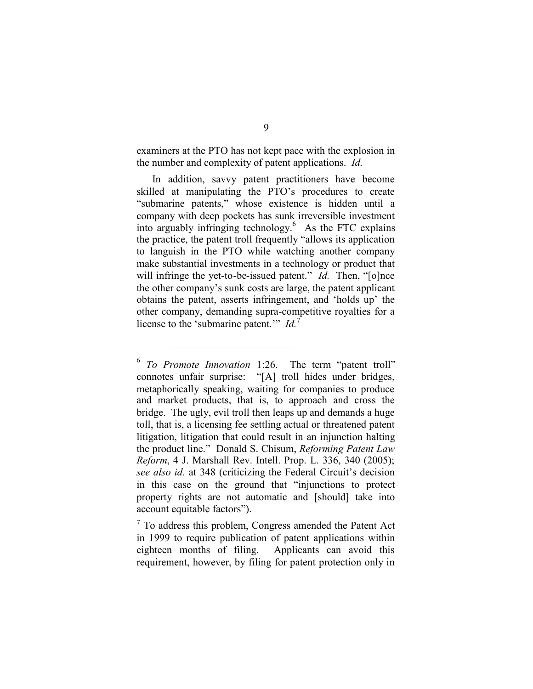examiners at the PTO has not kept pace with the explosion in the number and complexity of patent applications. *Id.*

In addition, savvy patent practitioners have become skilled at manipulating the PTO's procedures to create "submarine patents," whose existence is hidden until a company with deep pockets has sunk irreversible investment into arguably infringing technology.<sup>6</sup> As the FTC explains the practice, the patent troll frequently "allows its application to languish in the PTO while watching another company make substantial investments in a technology or product that will infringe the yet-to-be-issued patent." *Id.* Then, "[o]nce the other company's sunk costs are large, the patent applicant obtains the patent, asserts infringement, and 'holds up' the other company, demanding supra-competitive royalties for a license to the 'submarine patent.'" *Id.*<sup>7</sup>

<sup>6</sup> *To Promote Innovation* 1:26. The term "patent troll" connotes unfair surprise: "[A] troll hides under bridges, metaphorically speaking, waiting for companies to produce and market products, that is, to approach and cross the bridge. The ugly, evil troll then leaps up and demands a huge toll, that is, a licensing fee settling actual or threatened patent litigation, litigation that could result in an injunction halting the product line." Donald S. Chisum, *Reforming Patent Law Reform*, 4 J. Marshall Rev. Intell. Prop. L. 336, 340 (2005); *see also id.* at 348 (criticizing the Federal Circuit's decision in this case on the ground that "injunctions to protect property rights are not automatic and [should] take into account equitable factors").

<sup>7</sup> To address this problem, Congress amended the Patent Act in 1999 to require publication of patent applications within eighteen months of filing. Applicants can avoid this requirement, however, by filing for patent protection only in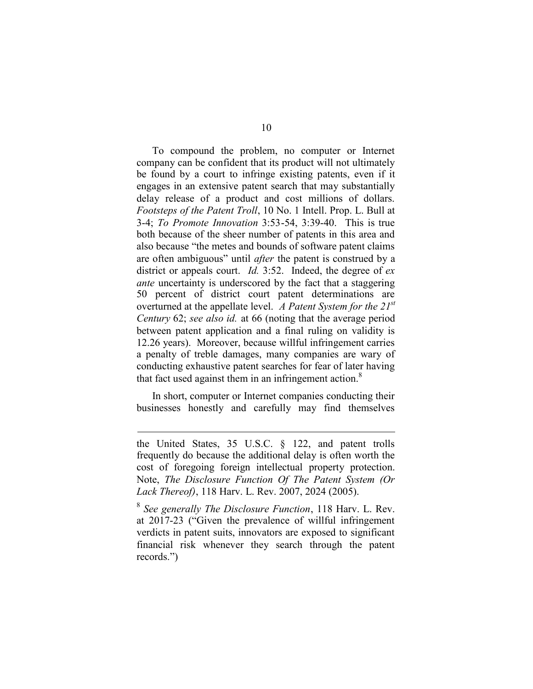To compound the problem, no computer or Internet company can be confident that its product will not ultimately be found by a court to infringe existing patents, even if it engages in an extensive patent search that may substantially delay release of a product and cost millions of dollars. *Footsteps of the Patent Troll*, 10 No. 1 Intell. Prop. L. Bull at 3-4; *To Promote Innovation* 3:53-54, 3:39-40. This is true both because of the sheer number of patents in this area and also because "the metes and bounds of software patent claims are often ambiguous" until *after* the patent is construed by a district or appeals court. *Id.* 3:52. Indeed, the degree of *ex ante* uncertainty is underscored by the fact that a staggering 50 percent of district court patent determinations are overturned at the appellate level. *A Patent System for the 21st Century* 62; *see also id.* at 66 (noting that the average period between patent application and a final ruling on validity is 12.26 years). Moreover, because willful infringement carries a penalty of treble damages, many companies are wary of conducting exhaustive patent searches for fear of later having that fact used against them in an infringement action. $8$ 

In short, computer or Internet companies conducting their businesses honestly and carefully may find themselves

the United States, 35 U.S.C. § 122, and patent trolls frequently do because the additional delay is often worth the cost of foregoing foreign intellectual property protection. Note, *The Disclosure Function Of The Patent System (Or Lack Thereof)*, 118 Harv. L. Rev. 2007, 2024 (2005).

<sup>8</sup> *See generally The Disclosure Function*, 118 Harv. L. Rev. at 2017-23 ("Given the prevalence of willful infringement verdicts in patent suits, innovators are exposed to significant financial risk whenever they search through the patent records.")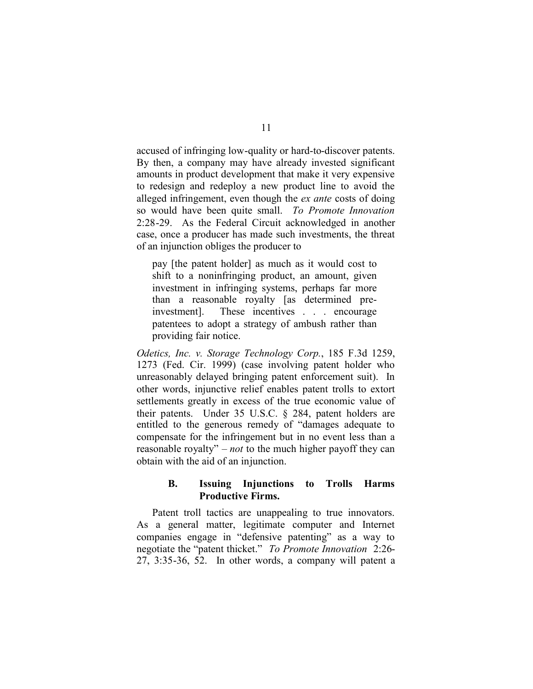accused of infringing low-quality or hard-to-discover patents. By then, a company may have already invested significant amounts in product development that make it very expensive to redesign and redeploy a new product line to avoid the alleged infringement, even though the *ex ante* costs of doing so would have been quite small. *To Promote Innovation* 2:28-29. As the Federal Circuit acknowledged in another case, once a producer has made such investments, the threat of an injunction obliges the producer to

pay [the patent holder] as much as it would cost to shift to a noninfringing product, an amount, given investment in infringing systems, perhaps far more than a reasonable royalty [as determined preinvestment]. These incentives . . . encourage patentees to adopt a strategy of ambush rather than providing fair notice.

*Odetics, Inc. v. Storage Technology Corp.*, 185 F.3d 1259, 1273 (Fed. Cir. 1999) (case involving patent holder who unreasonably delayed bringing patent enforcement suit). In other words, injunctive relief enables patent trolls to extort settlements greatly in excess of the true economic value of their patents. Under 35 U.S.C. § 284, patent holders are entitled to the generous remedy of "damages adequate to compensate for the infringement but in no event less than a reasonable royalty" – *not* to the much higher payoff they can obtain with the aid of an injunction.

#### **B. Issuing Injunctions to Trolls Harms Productive Firms.**

Patent troll tactics are unappealing to true innovators. As a general matter, legitimate computer and Internet companies engage in "defensive patenting" as a way to negotiate the "patent thicket." *To Promote Innovation* 2:26-  $27, 3:35-36, 52$ . In other words, a company will patent a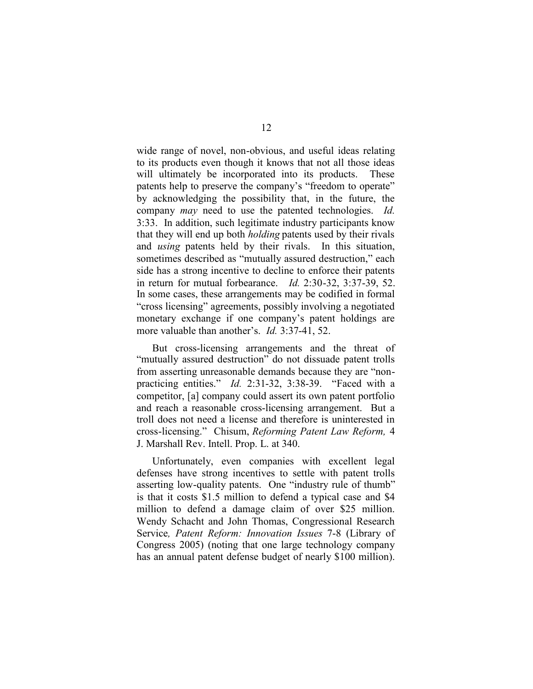wide range of novel, non-obvious, and useful ideas relating to its products even though it knows that not all those ideas will ultimately be incorporated into its products. These patents help to preserve the company's "freedom to operate" by acknowledging the possibility that, in the future, the company *may* need to use the patented technologies. *Id.* 3:33. In addition, such legitimate industry participants know that they will end up both *holding* patents used by their rivals and *using* patents held by their rivals. In this situation, sometimes described as "mutually assured destruction," each side has a strong incentive to decline to enforce their patents in return for mutual forbearance. *Id.* 2:30-32, 3:37-39, 52. In some cases, these arrangements may be codified in formal "cross licensing" agreements, possibly involving a negotiated monetary exchange if one company's patent holdings are more valuable than another's. *Id.* 3:37-41, 52.

But cross-licensing arrangements and the threat of "mutually assured destruction" do not dissuade patent trolls from asserting unreasonable demands because they are "nonpracticing entities." *Id.* 2:31-32, 3:38-39. "Faced with a competitor, [a] company could assert its own patent portfolio and reach a reasonable cross-licensing arrangement. But a troll does not need a license and therefore is uninterested in cross-licensing." Chisum, *Reforming Patent Law Reform,* 4 J. Marshall Rev. Intell. Prop. L. at 340.

Unfortunately, even companies with excellent legal defenses have strong incentives to settle with patent trolls asserting low-quality patents. One "industry rule of thumb" is that it costs \$1.5 million to defend a typical case and \$4 million to defend a damage claim of over \$25 million. Wendy Schacht and John Thomas, Congressional Research Service*, Patent Reform: Innovation Issues* 7-8 (Library of Congress 2005) (noting that one large technology company has an annual patent defense budget of nearly \$100 million).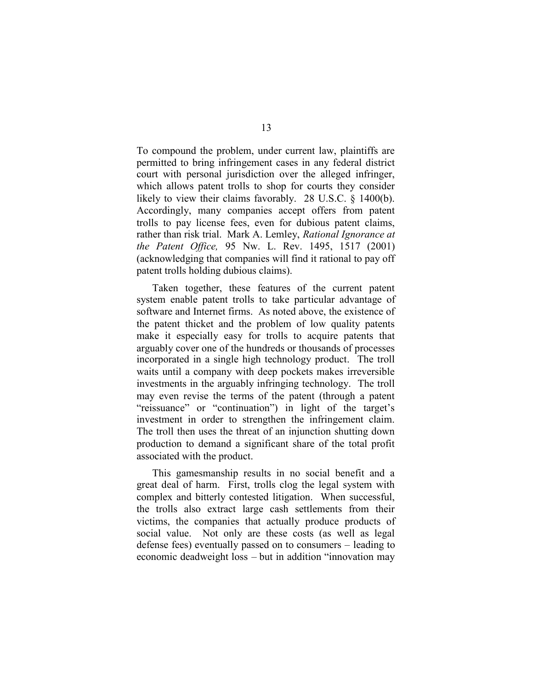To compound the problem, under current law, plaintiffs are permitted to bring infringement cases in any federal district court with personal jurisdiction over the alleged infringer, which allows patent trolls to shop for courts they consider likely to view their claims favorably. 28 U.S.C. § 1400(b). Accordingly, many companies accept offers from patent trolls to pay license fees, even for dubious patent claims, rather than risk trial. Mark A. Lemley, *Rational Ignorance at the Patent Office,* 95 Nw. L. Rev. 1495, 1517 (2001) (acknowledging that companies will find it rational to pay off patent trolls holding dubious claims).

Taken together, these features of the current patent system enable patent trolls to take particular advantage of software and Internet firms. As noted above, the existence of the patent thicket and the problem of low quality patents make it especially easy for trolls to acquire patents that arguably cover one of the hundreds or thousands of processes incorporated in a single high technology product. The troll waits until a company with deep pockets makes irreversible investments in the arguably infringing technology. The troll may even revise the terms of the patent (through a patent "reissuance" or "continuation") in light of the target's investment in order to strengthen the infringement claim. The troll then uses the threat of an injunction shutting down production to demand a significant share of the total profit associated with the product.

This gamesmanship results in no social benefit and a great deal of harm. First, trolls clog the legal system with complex and bitterly contested litigation. When successful, the trolls also extract large cash settlements from their victims, the companies that actually produce products of social value. Not only are these costs (as well as legal defense fees) eventually passed on to consumers – leading to economic deadweight loss – but in addition "innovation may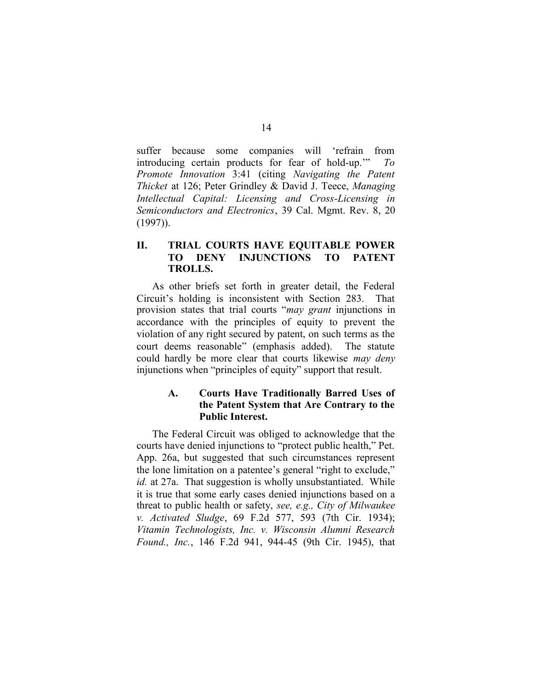suffer because some companies will 'refrain from introducing certain products for fear of hold-up.'" *To Promote Innovation* 3:41 (citing *Navigating the Patent Thicket* at 126; Peter Grindley & David J. Teece, *Managing Intellectual Capital: Licensing and Cross-Licensing in Semiconductors and Electronics*, 39 Cal. Mgmt. Rev. 8, 20 (1997)).

# **II. TRIAL COURTS HAVE EQUITABLE POWER TO DENY INJUNCTIONS TO PATENT TROLLS.**

As other briefs set forth in greater detail, the Federal Circuit's holding is inconsistent with Section 283. That provision states that trial courts "*may grant* injunctions in accordance with the principles of equity to prevent the violation of any right secured by patent, on such terms as the court deems reasonable" (emphasis added). The statute could hardly be more clear that courts likewise *may deny* injunctions when "principles of equity" support that result.

# **A. Courts Have Traditionally Barred Uses of the Patent System that Are Contrary to the Public Interest.**

The Federal Circuit was obliged to acknowledge that the courts have denied injunctions to "protect public health," Pet. App. 26a, but suggested that such circumstances represent the lone limitation on a patentee's general "right to exclude," *id.* at 27a. That suggestion is wholly unsubstantiated. While it is true that some early cases denied injunctions based on a threat to public health or safety, *see, e.g., City of Milwaukee v. Activated Sludge*, 69 F.2d 577, 593 (7th Cir. 1934); *Vitamin Technologists, Inc. v. Wisconsin Alumni Research Found., Inc.*, 146 F.2d 941, 944-45 (9th Cir. 1945), that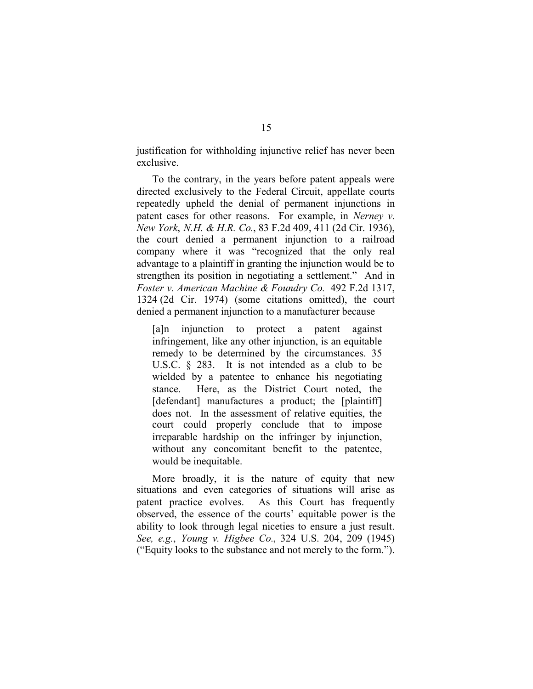justification for withholding injunctive relief has never been exclusive.

To the contrary, in the years before patent appeals were directed exclusively to the Federal Circuit, appellate courts repeatedly upheld the denial of permanent injunctions in patent cases for other reasons. For example, in *Nerney v. New York*, *N.H. & H.R. Co.*, 83 F.2d 409, 411 (2d Cir. 1936), the court denied a permanent injunction to a railroad company where it was "recognized that the only real advantage to a plaintiff in granting the injunction would be to strengthen its position in negotiating a settlement." And in *Foster v. American Machine & Foundry Co.* 492 F.2d 1317, 1324 (2d Cir. 1974) (some citations omitted), the court denied a permanent injunction to a manufacturer because

[a]n injunction to protect a patent against infringement, like any other injunction, is an equitable remedy to be determined by the circumstances. 35 U.S.C. § 283. It is not intended as a club to be wielded by a patentee to enhance his negotiating stance. Here, as the District Court noted, the [defendant] manufactures a product; the [plaintiff] does not. In the assessment of relative equities, the court could properly conclude that to impose irreparable hardship on the infringer by injunction, without any concomitant benefit to the patentee, would be inequitable.

More broadly, it is the nature of equity that new situations and even categories of situations will arise as patent practice evolves. As this Court has frequently observed, the essence of the courts' equitable power is the ability to look through legal niceties to ensure a just result. *See, e.g.*, *Young v. Higbee Co.*, 324 U.S. 204, 209 (1945) ("Equity looks to the substance and not merely to the form.").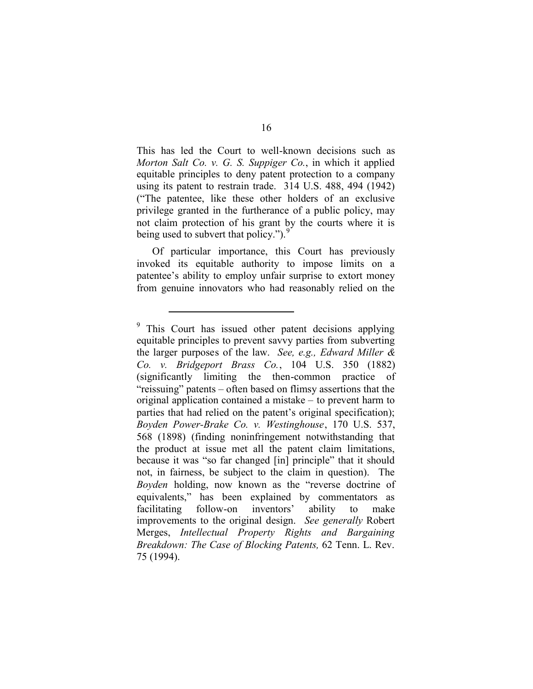This has led the Court to well-known decisions such as *Morton Salt Co. v. G. S. Suppiger Co.*, in which it applied equitable principles to deny patent protection to a company using its patent to restrain trade. 314 U.S. 488, 494 (1942) ("The patentee, like these other holders of an exclusive privilege granted in the furtherance of a public policy, may not claim protection of his grant by the courts where it is being used to subvert that policy."). $\frac{5}{2}$ 

Of particular importance, this Court has previously invoked its equitable authority to impose limits on a patentee's ability to employ unfair surprise to extort money from genuine innovators who had reasonably relied on the

<sup>&</sup>lt;sup>9</sup> This Court has issued other patent decisions applying equitable principles to prevent savvy parties from subverting the larger purposes of the law. *See, e.g., Edward Miller & Co. v. Bridgeport Brass Co.*, 104 U.S. 350 (1882) (significantly limiting the then-common practice of "reissuing" patents – often based on flimsy assertions that the original application contained a mistake – to prevent harm to parties that had relied on the patent's original specification); *Boyden Power-Brake Co. v. Westinghouse*, 170 U.S. 537, 568 (1898) (finding noninfringement notwithstanding that the product at issue met all the patent claim limitations, because it was "so far changed [in] principle" that it should not, in fairness, be subject to the claim in question). The *Boyden* holding, now known as the "reverse doctrine of equivalents," has been explained by commentators as facilitating follow-on inventors' ability to make improvements to the original design. *See generally* Robert Merges, *Intellectual Property Rights and Bargaining Breakdown: The Case of Blocking Patents,* 62 Tenn. L. Rev. 75 (1994).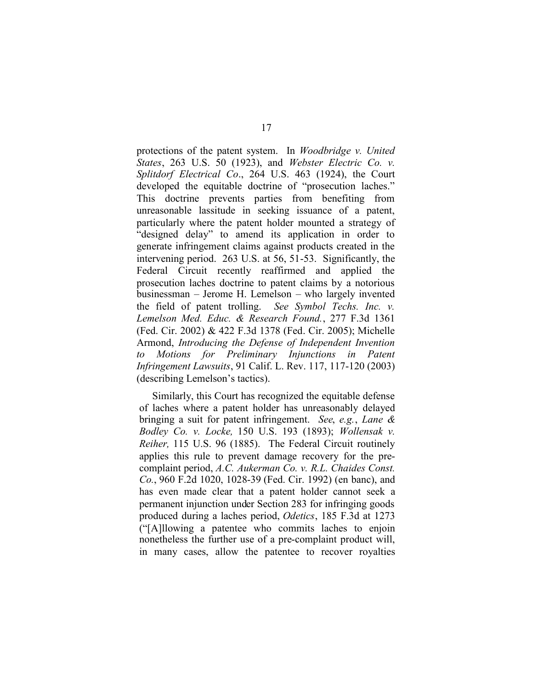protections of the patent system. In *Woodbridge v. United States*, 263 U.S. 50 (1923), and *Webster Electric Co. v. Splitdorf Electrical Co*., 264 U.S. 463 (1924), the Court developed the equitable doctrine of "prosecution laches." This doctrine prevents parties from benefiting from unreasonable lassitude in seeking issuance of a patent, particularly where the patent holder mounted a strategy of "designed delay" to amend its application in order to generate infringement claims against products created in the intervening period. 263 U.S. at 56, 51-53. Significantly, the Federal Circuit recently reaffirmed and applied the prosecution laches doctrine to patent claims by a notorious businessman – Jerome H. Lemelson – who largely invented the field of patent trolling. *See Symbol Techs. Inc. v. Lemelson Med. Educ. & Research Found.*, 277 F.3d 1361 (Fed. Cir. 2002) & 422 F.3d 1378 (Fed. Cir. 2005); Michelle Armond, *Introducing the Defense of Independent Invention to Motions for Preliminary Injunctions in Patent Infringement Lawsuits*, 91 Calif. L. Rev. 117, 117-120 (2003) (describing Lemelson's tactics).

Similarly, this Court has recognized the equitable defense of laches where a patent holder has unreasonably delayed bringing a suit for patent infringement. *See*, *e.g.*, *Lane & Bodley Co. v. Locke,* 150 U.S. 193 (1893); *Wollensak v. Reiher,* 115 U.S. 96 (1885). The Federal Circuit routinely applies this rule to prevent damage recovery for the precomplaint period, *A.C. Aukerman Co. v. R.L. Chaides Const. Co.*, 960 F.2d 1020, 1028-39 (Fed. Cir. 1992) (en banc), and has even made clear that a patent holder cannot seek a permanent injunction under Section 283 for infringing goods produced during a laches period, *Odetics*, 185 F.3d at 1273 ("[A]llowing a patentee who commits laches to enjoin nonetheless the further use of a pre-complaint product will, in many cases, allow the patentee to recover royalties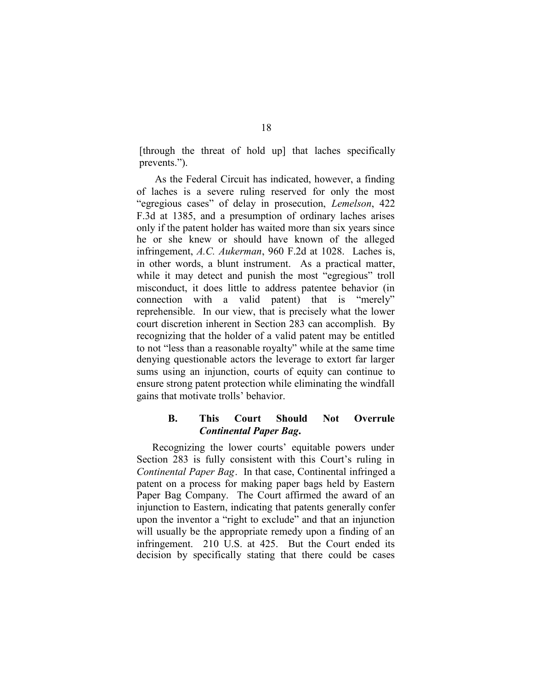[through the threat of hold up] that laches specifically prevents.").

As the Federal Circuit has indicated, however, a finding of laches is a severe ruling reserved for only the most "egregious cases" of delay in prosecution, *Lemelson*, 422 F.3d at 1385, and a presumption of ordinary laches arises only if the patent holder has waited more than six years since he or she knew or should have known of the alleged infringement, *A.C. Aukerman*, 960 F.2d at 1028. Laches is, in other words, a blunt instrument. As a practical matter, while it may detect and punish the most "egregious" troll misconduct, it does little to address patentee behavior (in connection with a valid patent) that is "merely" reprehensible. In our view, that is precisely what the lower court discretion inherent in Section 283 can accomplish. By recognizing that the holder of a valid patent may be entitled to not "less than a reasonable royalty" while at the same time denying questionable actors the leverage to extort far larger sums using an injunction, courts of equity can continue to ensure strong patent protection while eliminating the windfall gains that motivate trolls' behavior.

## **B. This Court Should Not Overrule** *Continental Paper Bag***.**

Recognizing the lower courts' equitable powers under Section 283 is fully consistent with this Court's ruling in *Continental Paper Bag*. In that case, Continental infringed a patent on a process for making paper bags held by Eastern Paper Bag Company. The Court affirmed the award of an injunction to Eastern, indicating that patents generally confer upon the inventor a "right to exclude" and that an injunction will usually be the appropriate remedy upon a finding of an infringement. 210 U.S. at 425. But the Court ended its decision by specifically stating that there could be cases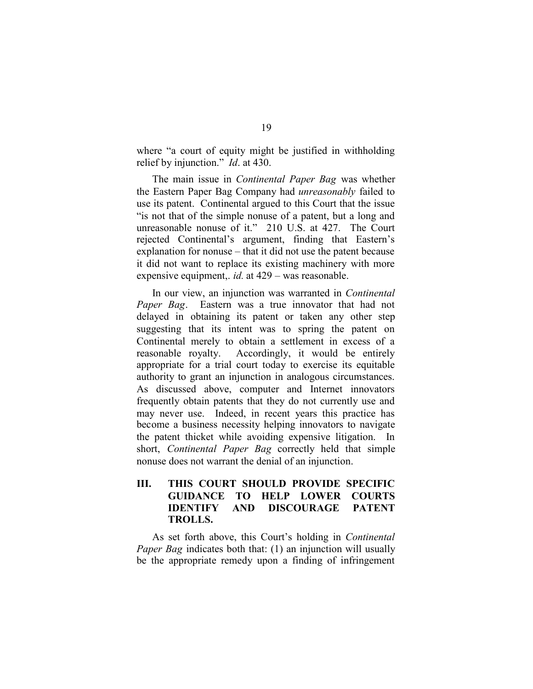where "a court of equity might be justified in withholding relief by injunction." *Id*. at 430.

The main issue in *Continental Paper Bag* was whether the Eastern Paper Bag Company had *unreasonably* failed to use its patent. Continental argued to this Court that the issue "is not that of the simple nonuse of a patent, but a long and unreasonable nonuse of it." 210 U.S. at 427. The Court rejected Continental's argument, finding that Eastern's explanation for nonuse – that it did not use the patent because it did not want to replace its existing machinery with more expensive equipment,. *id.* at 429 – was reasonable.

In our view, an injunction was warranted in *Continental Paper Bag*. Eastern was a true innovator that had not delayed in obtaining its patent or taken any other step suggesting that its intent was to spring the patent on Continental merely to obtain a settlement in excess of a reasonable royalty. Accordingly, it would be entirely appropriate for a trial court today to exercise its equitable authority to grant an injunction in analogous circumstances. As discussed above, computer and Internet innovators frequently obtain patents that they do not currently use and may never use. Indeed, in recent years this practice has become a business necessity helping innovators to navigate the patent thicket while avoiding expensive litigation. In short, *Continental Paper Bag* correctly held that simple nonuse does not warrant the denial of an injunction.

# **III. THIS COURT SHOULD PROVIDE SPECIFIC GUIDANCE TO HELP LOWER COURTS IDENTIFY AND DISCOURAGE PATENT TROLLS.**

As set forth above, this Court's holding in *Continental Paper Bag* indicates both that: (1) an injunction will usually be the appropriate remedy upon a finding of infringement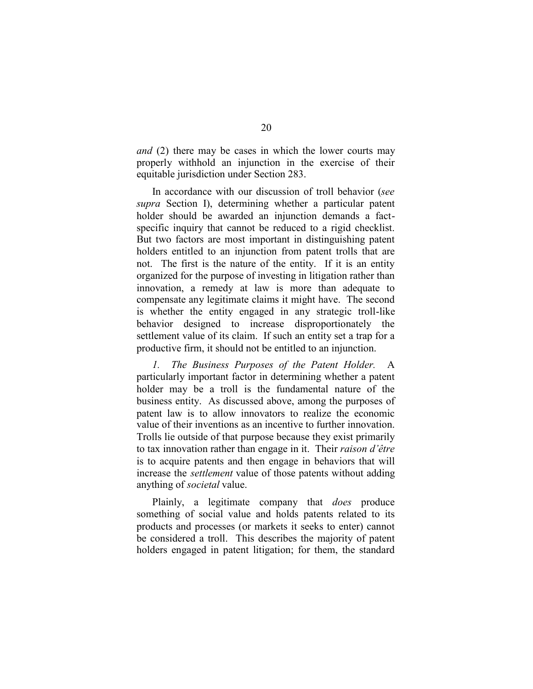*and* (2) there may be cases in which the lower courts may properly withhold an injunction in the exercise of their equitable jurisdiction under Section 283.

In accordance with our discussion of troll behavior (*see supra* Section I), determining whether a particular patent holder should be awarded an injunction demands a factspecific inquiry that cannot be reduced to a rigid checklist. But two factors are most important in distinguishing patent holders entitled to an injunction from patent trolls that are not. The first is the nature of the entity. If it is an entity organized for the purpose of investing in litigation rather than innovation, a remedy at law is more than adequate to compensate any legitimate claims it might have. The second is whether the entity engaged in any strategic troll-like behavior designed to increase disproportionately the settlement value of its claim. If such an entity set a trap for a productive firm, it should not be entitled to an injunction.

*1. The Business Purposes of the Patent Holder.* A particularly important factor in determining whether a patent holder may be a troll is the fundamental nature of the business entity. As discussed above, among the purposes of patent law is to allow innovators to realize the economic value of their inventions as an incentive to further innovation. Trolls lie outside of that purpose because they exist primarily to tax innovation rather than engage in it. Their *raison d'être* is to acquire patents and then engage in behaviors that will increase the *settlement* value of those patents without adding anything of *societal* value.

Plainly, a legitimate company that *does* produce something of social value and holds patents related to its products and processes (or markets it seeks to enter) cannot be considered a troll. This describes the majority of patent holders engaged in patent litigation; for them, the standard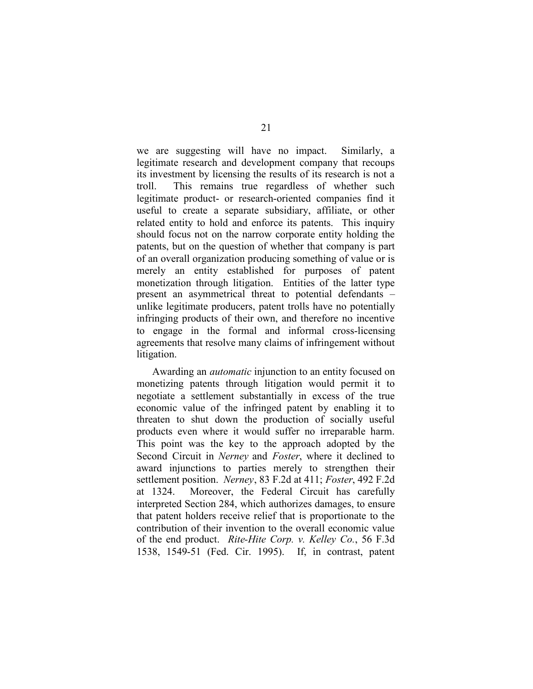we are suggesting will have no impact. Similarly, a legitimate research and development company that recoups its investment by licensing the results of its research is not a troll. This remains true regardless of whether such legitimate product- or research-oriented companies find it useful to create a separate subsidiary, affiliate, or other related entity to hold and enforce its patents. This inquiry should focus not on the narrow corporate entity holding the patents, but on the question of whether that company is part of an overall organization producing something of value or is merely an entity established for purposes of patent monetization through litigation. Entities of the latter type present an asymmetrical threat to potential defendants – unlike legitimate producers, patent trolls have no potentially infringing products of their own, and therefore no incentive to engage in the formal and informal cross-licensing agreements that resolve many claims of infringement without litigation.

Awarding an *automatic* injunction to an entity focused on monetizing patents through litigation would permit it to negotiate a settlement substantially in excess of the true economic value of the infringed patent by enabling it to threaten to shut down the production of socially useful products even where it would suffer no irreparable harm. This point was the key to the approach adopted by the Second Circuit in *Nerney* and *Foster*, where it declined to award injunctions to parties merely to strengthen their settlement position. *Nerney*, 83 F.2d at 411; *Foster*, 492 F.2d at 1324. Moreover, the Federal Circuit has carefully interpreted Section 284, which authorizes damages, to ensure that patent holders receive relief that is proportionate to the contribution of their invention to the overall economic value of the end product. *Rite-Hite Corp. v. Kelley Co.*, 56 F.3d 1538, 1549-51 (Fed. Cir. 1995). If, in contrast, patent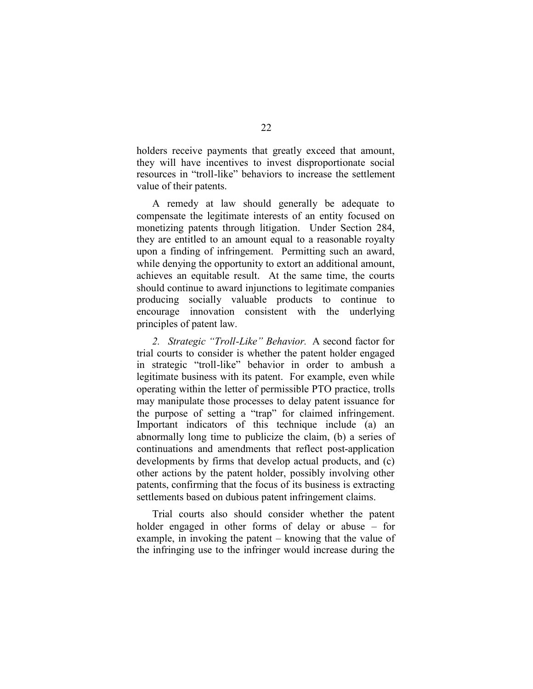holders receive payments that greatly exceed that amount, they will have incentives to invest disproportionate social resources in "troll-like" behaviors to increase the settlement value of their patents.

A remedy at law should generally be adequate to compensate the legitimate interests of an entity focused on monetizing patents through litigation. Under Section 284, they are entitled to an amount equal to a reasonable royalty upon a finding of infringement. Permitting such an award, while denying the opportunity to extort an additional amount, achieves an equitable result. At the same time, the courts should continue to award injunctions to legitimate companies producing socially valuable products to continue to encourage innovation consistent with the underlying principles of patent law.

*2. Strategic "Troll-Like" Behavior.* A second factor for trial courts to consider is whether the patent holder engaged in strategic "troll-like" behavior in order to ambush a legitimate business with its patent. For example, even while operating within the letter of permissible PTO practice, trolls may manipulate those processes to delay patent issuance for the purpose of setting a "trap" for claimed infringement. Important indicators of this technique include (a) an abnormally long time to publicize the claim, (b) a series of continuations and amendments that reflect post-application developments by firms that develop actual products, and (c) other actions by the patent holder, possibly involving other patents, confirming that the focus of its business is extracting settlements based on dubious patent infringement claims.

Trial courts also should consider whether the patent holder engaged in other forms of delay or abuse – for example, in invoking the patent – knowing that the value of the infringing use to the infringer would increase during the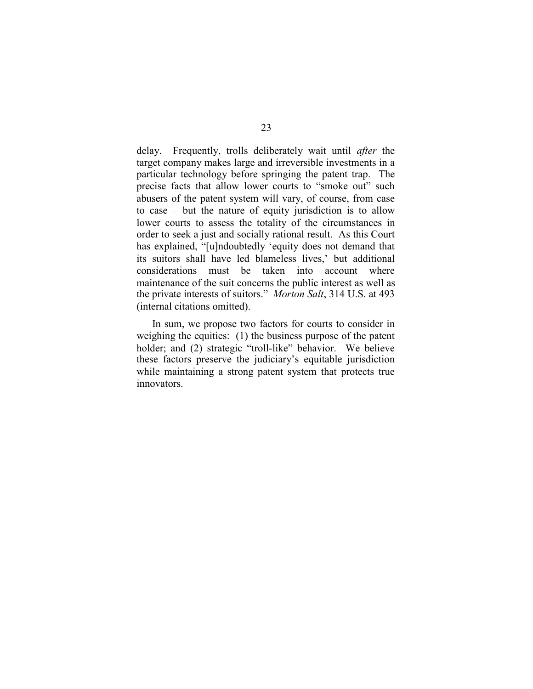delay. Frequently, trolls deliberately wait until *after* the target company makes large and irreversible investments in a particular technology before springing the patent trap. The precise facts that allow lower courts to "smoke out" such abusers of the patent system will vary, of course, from case to case – but the nature of equity jurisdiction is to allow lower courts to assess the totality of the circumstances in order to seek a just and socially rational result. As this Court has explained, "[u]ndoubtedly 'equity does not demand that its suitors shall have led blameless lives,' but additional considerations must be taken into account where maintenance of the suit concerns the public interest as well as the private interests of suitors." *Morton Salt*, 314 U.S. at 493 (internal citations omitted).

In sum, we propose two factors for courts to consider in weighing the equities: (1) the business purpose of the patent holder; and (2) strategic "troll-like" behavior. We believe these factors preserve the judiciary's equitable jurisdiction while maintaining a strong patent system that protects true innovators.